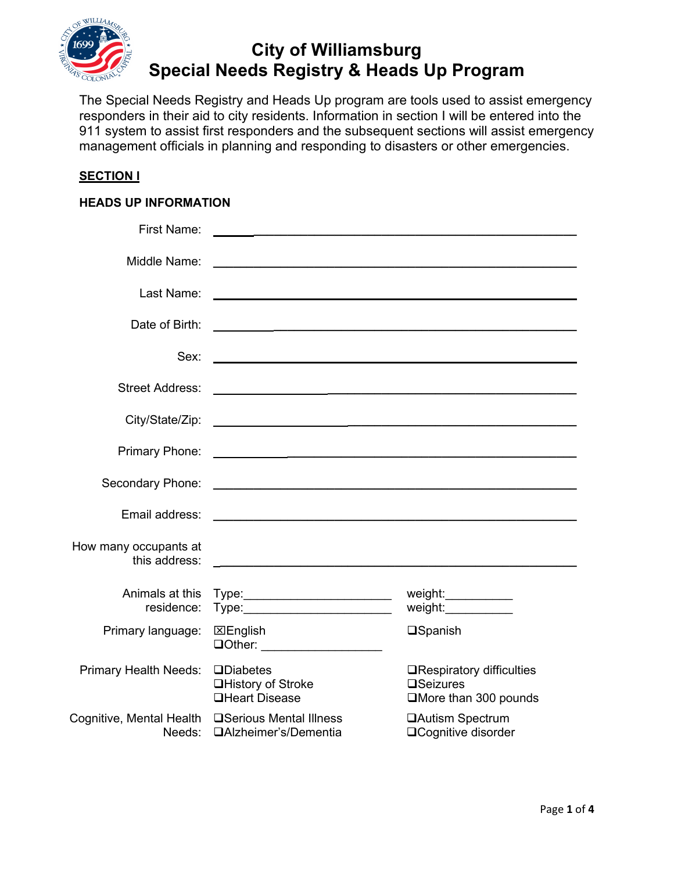

# **City of Williamsburg Special Needs Registry & Heads Up Program**

The Special Needs Registry and Heads Up program are tools used to assist emergency responders in their aid to city residents. Information in section I will be entered into the 911 system to assist first responders and the subsequent sections will assist emergency management officials in planning and responding to disasters or other emergencies.

#### **SECTION I**

#### **HEADS UP INFORMATION**

| <b>First Name:</b>                     | <u> 1989 - Johann Stoff, die staatskriuw fan de Amerikaanse kommunister († 1908)</u>                                    |                                                                                 |
|----------------------------------------|-------------------------------------------------------------------------------------------------------------------------|---------------------------------------------------------------------------------|
| Middle Name:                           | <u> 1999 - Johann Barbara, martin amerikan basal dan berasal dan berasal dalam basal dalam basal dalam basal dala</u>   |                                                                                 |
| Last Name:                             | <u> 1989 - Johann Barbara, margaret eta idazlea (h. 1989).</u>                                                          |                                                                                 |
| Date of Birth:                         |                                                                                                                         |                                                                                 |
| Sex:                                   | <u> 1989 - Johann Barn, mars ann an t-Amhainn an t-Amhainn an t-Amhainn an t-Amhainn an t-Amhainn an t-Amhainn an </u>  |                                                                                 |
| <b>Street Address:</b>                 |                                                                                                                         |                                                                                 |
|                                        |                                                                                                                         |                                                                                 |
|                                        |                                                                                                                         |                                                                                 |
| Primary Phone:                         |                                                                                                                         |                                                                                 |
| Secondary Phone:                       | <u> 2000 - Jan Barnett, mars et al. 19</u> 00 - 1900 - 1900 - 1900 - 1900 - 1900 - 1900 - 1900 - 1900 - 1900 - 1900 - 1 |                                                                                 |
| Email address:                         | <u> 2000 - Jan James James Jan James James James James James James James James James James James James James Jam</u>    |                                                                                 |
| How many occupants at<br>this address: |                                                                                                                         |                                                                                 |
| Animals at this<br>residence:          | Type:__________________________                                                                                         | weight:___________<br>weight:____________                                       |
| Primary language:                      | ⊠English<br><b>QOther:</b> ___________________                                                                          | <b>OSpanish</b>                                                                 |
| <b>Primary Health Needs:</b>           | <b>QDiabetes</b><br><b>□History of Stroke</b><br><b>QHeart Disease</b>                                                  | <b>□Respiratory difficulties</b><br>$\square$ Seizures<br>□More than 300 pounds |
| Cognitive, Mental Health<br>Needs:     | <b>□Serious Mental Illness</b><br>□Alzheimer's/Dementia                                                                 | <b>□Autism Spectrum</b><br>□Cognitive disorder                                  |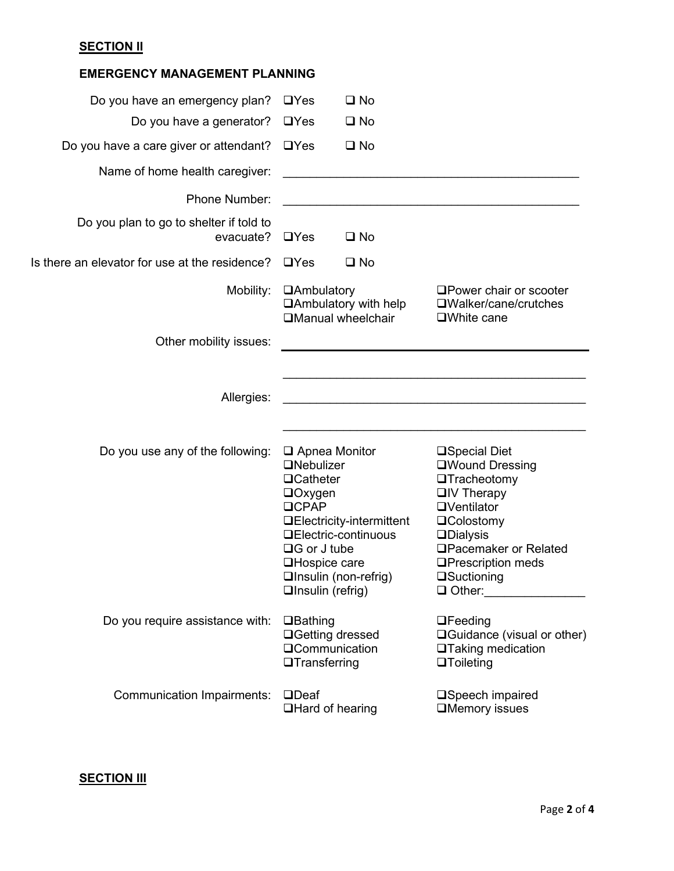## **SECTION II**

| <b>EMERGENCY MANAGEMENT PLANNING</b>                 |                                                                                                                                                                         |                                                                                          |                                                                                                                                                                                                                                                   |
|------------------------------------------------------|-------------------------------------------------------------------------------------------------------------------------------------------------------------------------|------------------------------------------------------------------------------------------|---------------------------------------------------------------------------------------------------------------------------------------------------------------------------------------------------------------------------------------------------|
| Do you have an emergency plan?                       | $\Box$ Yes                                                                                                                                                              | $\square$ No                                                                             |                                                                                                                                                                                                                                                   |
| Do you have a generator?                             | $\Box$ Yes                                                                                                                                                              | $\square$ No                                                                             |                                                                                                                                                                                                                                                   |
| Do you have a care giver or attendant?               | $\Box$ Yes                                                                                                                                                              | $\square$ No                                                                             |                                                                                                                                                                                                                                                   |
| Name of home health caregiver:                       |                                                                                                                                                                         |                                                                                          |                                                                                                                                                                                                                                                   |
| Phone Number:                                        |                                                                                                                                                                         |                                                                                          |                                                                                                                                                                                                                                                   |
| Do you plan to go to shelter if told to<br>evacuate? | $\Box$ Yes                                                                                                                                                              | $\square$ No                                                                             |                                                                                                                                                                                                                                                   |
| Is there an elevator for use at the residence?       | $\Box$ Yes                                                                                                                                                              | $\square$ No                                                                             |                                                                                                                                                                                                                                                   |
| Mobility:                                            | <b>QAmbulatory</b>                                                                                                                                                      | $\Box$ Ambulatory with help<br><b>QManual wheelchair</b>                                 | □ Power chair or scooter<br>$\square$ Walker/cane/crutches<br>$\square$ White cane                                                                                                                                                                |
| Other mobility issues:                               |                                                                                                                                                                         |                                                                                          |                                                                                                                                                                                                                                                   |
| Allergies:                                           |                                                                                                                                                                         |                                                                                          |                                                                                                                                                                                                                                                   |
| Do you use any of the following:                     | $\Box$ Apnea Monitor<br><b>ONebulizer</b><br><b>QCatheter</b><br>$\Box$ Oxygen<br><b>OCPAP</b><br>$\Box G$ or J tube<br><b>□Hospice care</b><br>$\Box$ Insulin (refrig) | <b>□Electricity-intermittent</b><br><b>QElectric-continuous</b><br>□Insulin (non-refrig) | <b>□Special Diet</b><br>□Wound Dressing<br><b>OTracheotomy</b><br>$\Box$ IV Therapy<br><b>OVentilator</b><br><b>QColostomy</b><br><b>QDialysis</b><br>□Pacemaker or Related<br><b>□Prescription meds</b><br>$\square$ Suctioning<br>$\Box$ Other: |
| Do you require assistance with:                      | $\Box$ Bathing<br><b>□Getting dressed</b><br><b>QCommunication</b><br>$\Box$ Transferring                                                                               |                                                                                          | $\Box$ Feeding<br>$\Box$ Guidance (visual or other)<br><b>□Taking medication</b><br>$\Box$ Toileting                                                                                                                                              |
| <b>Communication Impairments:</b>                    | $\Box$ Deaf<br><b>□Hard of hearing</b>                                                                                                                                  |                                                                                          | □Speech impaired<br><b>IMemory issues</b>                                                                                                                                                                                                         |

### **SECTION III**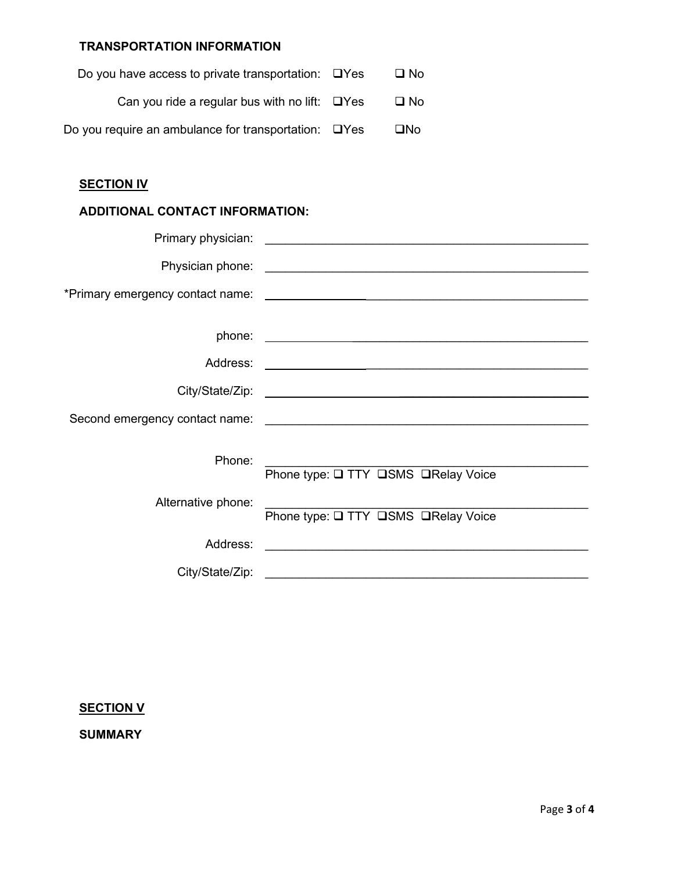### **TRANSPORTATION INFORMATION**

| Do you have access to private transportation: $\Box$ Yes   | $\square$ No |
|------------------------------------------------------------|--------------|
| Can you ride a regular bus with no lift: $\Box$ Yes        | □ No         |
| Do you require an ambulance for transportation: $\Box$ Yes | □No          |

### **SECTION IV**

### **ADDITIONAL CONTACT INFORMATION:**

|                    | <b>Primary physician:</b> The contract of the contract of the contract of the contract of the contract of the contract of the contract of the contract of the contract of the contract of the contract of the contract of the contr |
|--------------------|-------------------------------------------------------------------------------------------------------------------------------------------------------------------------------------------------------------------------------------|
|                    |                                                                                                                                                                                                                                     |
|                    |                                                                                                                                                                                                                                     |
|                    |                                                                                                                                                                                                                                     |
|                    |                                                                                                                                                                                                                                     |
|                    |                                                                                                                                                                                                                                     |
|                    |                                                                                                                                                                                                                                     |
|                    |                                                                                                                                                                                                                                     |
|                    |                                                                                                                                                                                                                                     |
| Phone:             |                                                                                                                                                                                                                                     |
|                    | Phone type: Q TTY QSMS QRelay Voice                                                                                                                                                                                                 |
| Alternative phone: |                                                                                                                                                                                                                                     |
|                    | Phone type: Q TTY QSMS QRelay Voice                                                                                                                                                                                                 |
|                    |                                                                                                                                                                                                                                     |
|                    |                                                                                                                                                                                                                                     |

### **SECTION V**

**SUMMARY**